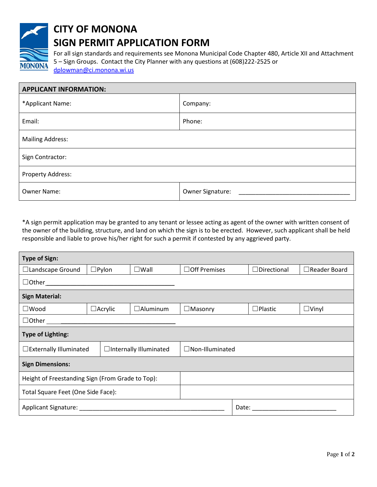

## **CITY OF MONONA SIGN PERMIT APPLICATION FORM**

For all sign standards and requirements see Monona Municipal Code Chapter 480, Article XII and Attachment 5 – Sign Groups. Contact the City Planner with any questions at (608)222-2525 or

[dplowman@ci.monona.wi.us](mailto:dplowman@ci.monona.wi.us)

| <b>APPLICANT INFORMATION:</b> |                  |  |  |  |
|-------------------------------|------------------|--|--|--|
| *Applicant Name:              | Company:         |  |  |  |
| Email:                        | Phone:           |  |  |  |
| <b>Mailing Address:</b>       |                  |  |  |  |
| Sign Contractor:              |                  |  |  |  |
| Property Address:             |                  |  |  |  |
| Owner Name:                   | Owner Signature: |  |  |  |

\*A sign permit application may be granted to any tenant or lessee acting as agent of the owner with written consent of the owner of the building, structure, and land on which the sign is to be erected. However, such applicant shall be held responsible and liable to prove his/her right for such a permit if contested by any aggrieved party.

| <b>Type of Sign:</b>                               |                 |                         |                                                                                                                                                                                                                                |                    |                     |  |  |
|----------------------------------------------------|-----------------|-------------------------|--------------------------------------------------------------------------------------------------------------------------------------------------------------------------------------------------------------------------------|--------------------|---------------------|--|--|
| □Landscape Ground                                  | $\square$ Pylon | $\square$ Wall          | $\Box$ Off Premises                                                                                                                                                                                                            | $\Box$ Directional | $\Box$ Reader Board |  |  |
| $\Box$ Other                                       |                 |                         |                                                                                                                                                                                                                                |                    |                     |  |  |
| <b>Sign Material:</b>                              |                 |                         |                                                                                                                                                                                                                                |                    |                     |  |  |
| $\square$ Wood                                     | $\Box$ Acrylic  | $\Box$ Aluminum         | $\Box$ Masonry                                                                                                                                                                                                                 | $\Box$ Plastic     | $\Box$ Vinyl        |  |  |
| $\Box$ Other $\_\_\_\_\_\_\_\_\_\_\_\_\$           |                 |                         |                                                                                                                                                                                                                                |                    |                     |  |  |
| <b>Type of Lighting:</b>                           |                 |                         |                                                                                                                                                                                                                                |                    |                     |  |  |
| $\Box$ Externally Illuminated                      |                 | □Internally Illuminated | $\Box$ Non-Illuminated                                                                                                                                                                                                         |                    |                     |  |  |
| <b>Sign Dimensions:</b>                            |                 |                         |                                                                                                                                                                                                                                |                    |                     |  |  |
| Height of Freestanding Sign (From Grade to Top):   |                 |                         |                                                                                                                                                                                                                                |                    |                     |  |  |
| Total Square Feet (One Side Face):                 |                 |                         |                                                                                                                                                                                                                                |                    |                     |  |  |
| Applicant Signature: National Applicant Signature: |                 |                         | Date: the contract of the contract of the contract of the contract of the contract of the contract of the contract of the contract of the contract of the contract of the contract of the contract of the contract of the cont |                    |                     |  |  |